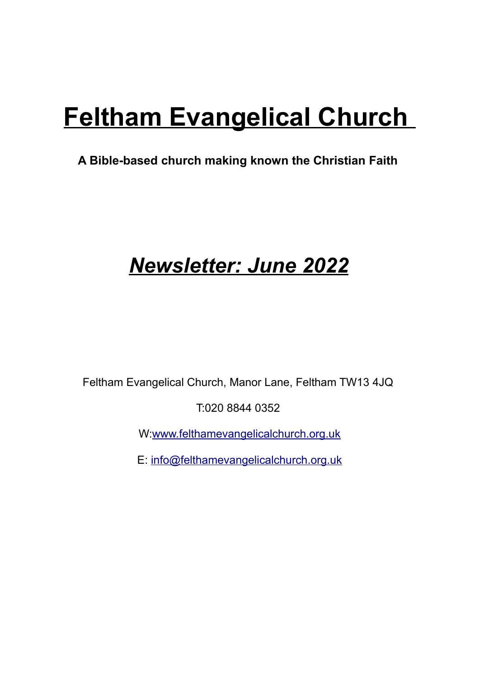# **Feltham Evangelical Church**

#### **A Bible-based church making known the Christian Faith**

## *Newsletter: June 2022*

Feltham Evangelical Church, Manor Lane, Feltham TW13 4JQ

T:020 8844 0352

W[:www.felthamevangelicalchurch.org.uk](http://www.felthamevangelicalchurch.org.uk/)

E: [info@felthamevangelicalchurch.org.uk](mailto:info@felthamevangelicalchurch.org.uk)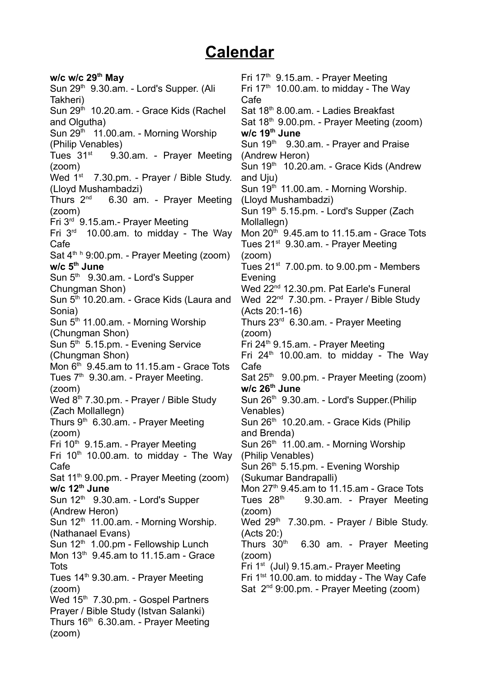#### **Calendar**

**w/c w/c 29th May** Sun 29<sup>th</sup> 9.30.am. - Lord's Supper. (Ali Takheri) Sun 29<sup>th</sup> 10.20.am. - Grace Kids (Rachel) and Olgutha) Sun 29<sup>th</sup> 11.00.am. - Morning Worship (Philip Venables) Tues  $31<sup>st</sup>$  9.30.am. - Prayer Meeting (zoom) Wed 1<sup>st</sup> 7.30.pm. - Prayer / Bible Study. (Lloyd Mushambadzi) Thurs  $2^{nd}$  6.30 am. - Prayer Meeting (zoom) Fri 3rd 9.15.am.- Prayer Meeting Fri  $3<sup>rd</sup>$  10.00.am. to midday - The Way Cafe Sat 4<sup>th h</sup> 9:00.pm. - Prayer Meeting (zoom) **w/c 5th June** Sun  $5<sup>th</sup>$  9.30.am. - Lord's Supper Chungman Shon) Sun 5<sup>th</sup> 10.20.am. - Grace Kids (Laura and Sonia) Sun  $5<sup>th</sup>$  11.00.am. - Morning Worship (Chungman Shon) Sun 5<sup>th</sup> 5.15.pm. - Evening Service (Chungman Shon) Mon  $6<sup>th</sup>$  9.45.am to 11.15.am - Grace Tots Tues  $7<sup>th</sup>$  9.30.am. - Prayer Meeting. (zoom) Wed 8<sup>th</sup> 7.30.pm. - Prayer / Bible Study (Zach Mollallegn) Thurs  $9<sup>th</sup>$  6.30.am. - Prayer Meeting (zoom) Fri 10<sup>th</sup> 9.15.am. - Prayer Meeting Fri  $10<sup>th</sup>$  10.00.am. to midday - The Way Cafe Sat 11<sup>th</sup> 9.00.pm. - Prayer Meeting (zoom) **w/c 12th June** Sun 12<sup>th</sup> 9.30.am. - Lord's Supper (Andrew Heron) Sun  $12<sup>th</sup>$  11.00.am. - Morning Worship. (Nathanael Evans) Sun  $12<sup>th</sup> 1.00$ .pm - Fellowship Lunch Mon  $13<sup>th</sup>$  9.45.am to 11.15.am - Grace **Tots** Tues 14<sup>th</sup> 9.30.am. - Prayer Meeting (zoom) Wed 15<sup>th</sup> 7.30.pm. - Gospel Partners Prayer / Bible Study (Istvan Salanki) Thurs  $16<sup>th</sup>$  6.30.am. - Prayer Meeting (zoom)

Fri 17th 9.15.am. - Prayer Meeting Fri  $17<sup>th</sup>$  10.00.am. to midday - The Way Cafe Sat 18th 8.00.am. - Ladies Breakfast Sat 18<sup>th</sup> 9.00.pm. - Prayer Meeting (zoom) **w/c 19th June** Sun 19<sup>th</sup> 9.30.am. - Prayer and Praise (Andrew Heron) Sun 19<sup>th</sup> 10.20.am. - Grace Kids (Andrew and Uju) Sun 19<sup>th</sup> 11.00.am. - Morning Worship. (Lloyd Mushambadzi) Sun 19<sup>th</sup> 5.15.pm. - Lord's Supper (Zach Mollallegn) Mon  $20<sup>th</sup>$  9.45.am to 11.15.am - Grace Tots Tues 21<sup>st</sup> 9.30.am. - Prayer Meeting (zoom) Tues  $21^{st}$  7.00.pm. to 9.00.pm - Members Evening Wed 22<sup>nd</sup> 12.30.pm. Pat Earle's Funeral Wed 22<sup>nd</sup> 7.30.pm. - Prayer / Bible Study (Acts 20:1-16) Thurs 23rd 6.30.am. - Prayer Meeting (zoom) Fri 24<sup>th</sup> 9.15.am. - Prayer Meeting Fri  $24<sup>th</sup>$  10.00.am. to midday - The Way Cafe Sat 25<sup>th</sup> 9.00.pm. - Prayer Meeting (zoom) **w/c 26th June** Sun 26th 9.30.am. - Lord's Supper.(Philip Venables) Sun 26<sup>th</sup> 10.20.am. - Grace Kids (Philip and Brenda) Sun 26<sup>th</sup> 11.00.am. - Morning Worship (Philip Venables) Sun 26<sup>th</sup> 5.15.pm. - Evening Worship (Sukumar Bandrapalli) Mon  $27<sup>th</sup>$  9.45.am to 11.15.am - Grace Tots Tues  $28<sup>th</sup>$  9.30.am. - Prayer Meeting (zoom) Wed  $29<sup>th</sup>$  7.30.pm. - Prayer / Bible Study. (Acts 20:) Thurs  $30<sup>th</sup>$  6.30 am. - Prayer Meeting (zoom) Fri 1st (Jul) 9.15.am.- Prayer Meeting Fri 1<sup>tst</sup> 10.00.am. to midday - The Way Cafe Sat  $2^{nd}$  9:00.pm. - Prayer Meeting (zoom)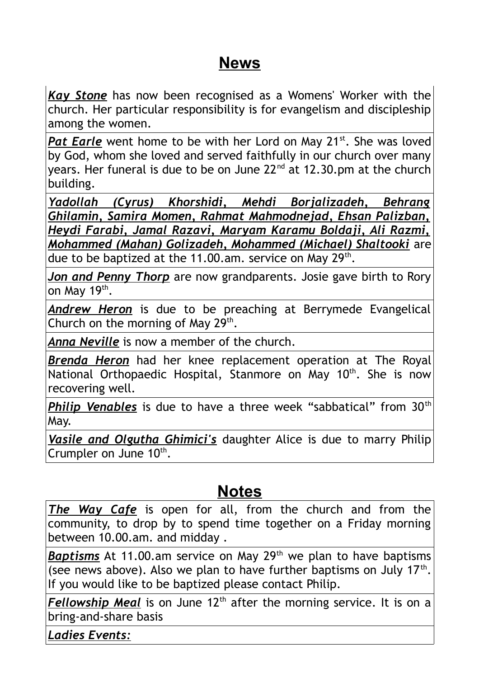#### **News**

*Kay Stone* has now been recognised as a Womens' Worker with the church. Her particular responsibility is for evangelism and discipleship among the women.

Pat Earle went home to be with her Lord on May 21<sup>st</sup>. She was loved by God, whom she loved and served faithfully in our church over many years. Her funeral is due to be on June  $22<sup>nd</sup>$  at 12.30.pm at the church building.

*Yadollah (Cyrus) Khorshidi, Mehdi Borjalizadeh, Behrang Ghilamin, Samira Momen, Rahmat Mahmodnejad, Ehsan Palizban, Heydi Farabi, Jamal Razavi, Maryam Karamu Boldaji, Ali Razmi, Mohammed (Mahan) Golizadeh, Mohammed (Michael) Shaltooki* are due to be baptized at the 11.00.am. service on May  $29<sup>th</sup>$ .

*Jon and Penny Thorp* are now grandparents. Josie gave birth to Rory on May 19<sup>th</sup>.

*Andrew Heron* is due to be preaching at Berrymede Evangelical Church on the morning of May  $29<sup>th</sup>$ .

*Anna Neville* is now a member of the church.

*Brenda Heron* had her knee replacement operation at The Royal National Orthopaedic Hospital, Stanmore on May 10<sup>th</sup>. She is now recovering well.

*Philip Venables* is due to have a three week "sabbatical" from 30<sup>th</sup> May.

*Vasile and Olgutha Ghimici's* daughter Alice is due to marry Philip Crumpler on June  $10<sup>th</sup>$ .

#### **Notes**

*The Way Cafe* is open for all, from the church and from the community, to drop by to spend time together on a Friday morning between 10.00.am. and midday .

**Baptisms** At 11.00.am service on May 29<sup>th</sup> we plan to have baptisms (see news above). Also we plan to have further baptisms on July  $17<sup>th</sup>$ . If you would like to be baptized please contact Philip.

Fellowship Meal is on June 12<sup>th</sup> after the morning service. It is on a bring-and-share basis

*Ladies Events:*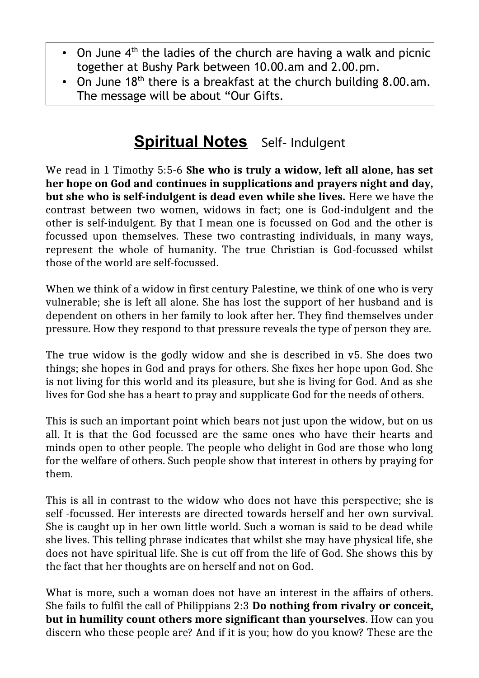- On June  $4<sup>th</sup>$  the ladies of the church are having a walk and picnic together at Bushy Park between 10.00.am and 2.00.pm.
- On June  $18<sup>th</sup>$  there is a breakfast at the church building 8.00.am. The message will be about "Our Gifts.

### **Spiritual Notes** Self- Indulgent

We read in 1 Timothy 5:5-6 **She who is truly a widow, left all alone, has set her hope on God and continues in supplications and prayers night and day, but she who is self-indulgent is dead even while she lives.** Here we have the contrast between two women, widows in fact; one is God-indulgent and the other is self-indulgent. By that I mean one is focussed on God and the other is focussed upon themselves. These two contrasting individuals, in many ways, represent the whole of humanity. The true Christian is God-focussed whilst those of the world are self-focussed.

When we think of a widow in first century Palestine, we think of one who is very vulnerable; she is left all alone. She has lost the support of her husband and is dependent on others in her family to look after her. They find themselves under pressure. How they respond to that pressure reveals the type of person they are.

The true widow is the godly widow and she is described in v5. She does two things; she hopes in God and prays for others. She fixes her hope upon God. She is not living for this world and its pleasure, but she is living for God. And as she lives for God she has a heart to pray and supplicate God for the needs of others.

This is such an important point which bears not just upon the widow, but on us all. It is that the God focussed are the same ones who have their hearts and minds open to other people. The people who delight in God are those who long for the welfare of others. Such people show that interest in others by praying for them.

This is all in contrast to the widow who does not have this perspective; she is self -focussed. Her interests are directed towards herself and her own survival. She is caught up in her own little world. Such a woman is said to be dead while she lives. This telling phrase indicates that whilst she may have physical life, she does not have spiritual life. She is cut off from the life of God. She shows this by the fact that her thoughts are on herself and not on God.

What is more, such a woman does not have an interest in the affairs of others. She fails to fulfil the call of Philippians 2:3 **Do nothing from rivalry or conceit, but in humility count others more significant than yourselves**. How can you discern who these people are? And if it is you; how do you know? These are the